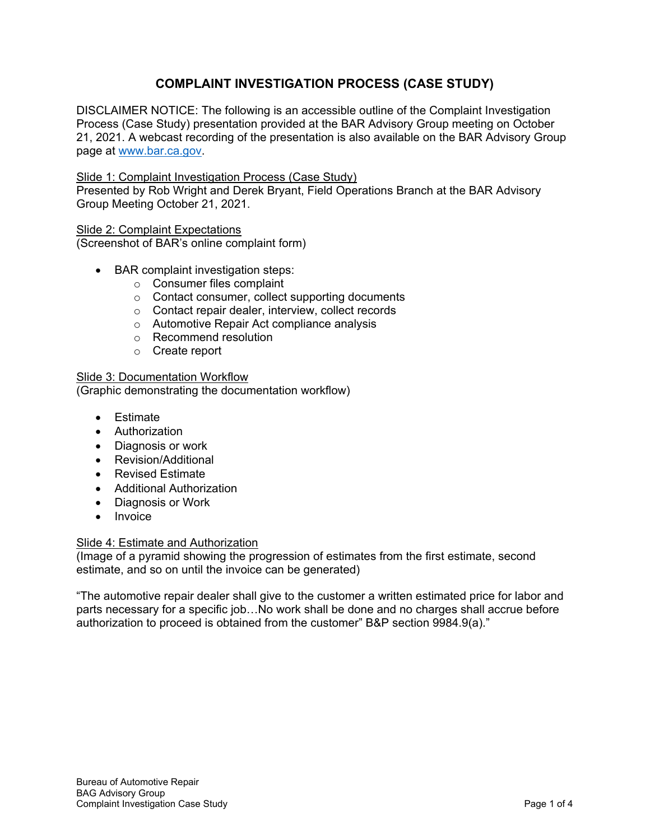## **COMPLAINT INVESTIGATION PROCESS (CASE STUDY)**

DISCLAIMER NOTICE: The following is an accessible outline of the Complaint Investigation Process (Case Study) presentation provided at the BAR Advisory Group meeting on October 21, 2021. A webcast recording of the presentation is also available on the BAR Advisory Group page at [www.bar.ca.gov.](http://www.bar.ca.gov/)

## Slide 1: Complaint Investigation Process (Case Study)

Presented by Rob Wright and Derek Bryant, Field Operations Branch at the BAR Advisory Group Meeting October 21, 2021.

### Slide 2: Complaint Expectations

(Screenshot of BAR's online complaint form)

- BAR complaint investigation steps:
	- o Consumer files complaint
	- o Contact consumer, collect supporting documents
	- o Contact repair dealer, interview, collect records
	- o Automotive Repair Act compliance analysis
	- o Recommend resolution
	- o Create report

# Slide 3: Documentation Workflow

(Graphic demonstrating the documentation workflow)

- Estimate
- Authorization
- Diagnosis or work
- Revision/Additional
- Revised Estimate
- Additional Authorization
- Diagnosis or Work
- Invoice

## **Slide 4: Estimate and Authorization**

(Image of a pyramid showing the progression of estimates from the first estimate, second estimate, and so on until the invoice can be generated)

"The automotive repair dealer shall give to the customer a written estimated price for labor and parts necessary for a specific job…No work shall be done and no charges shall accrue before authorization to proceed is obtained from the customer" B&P section 9984.9(a)."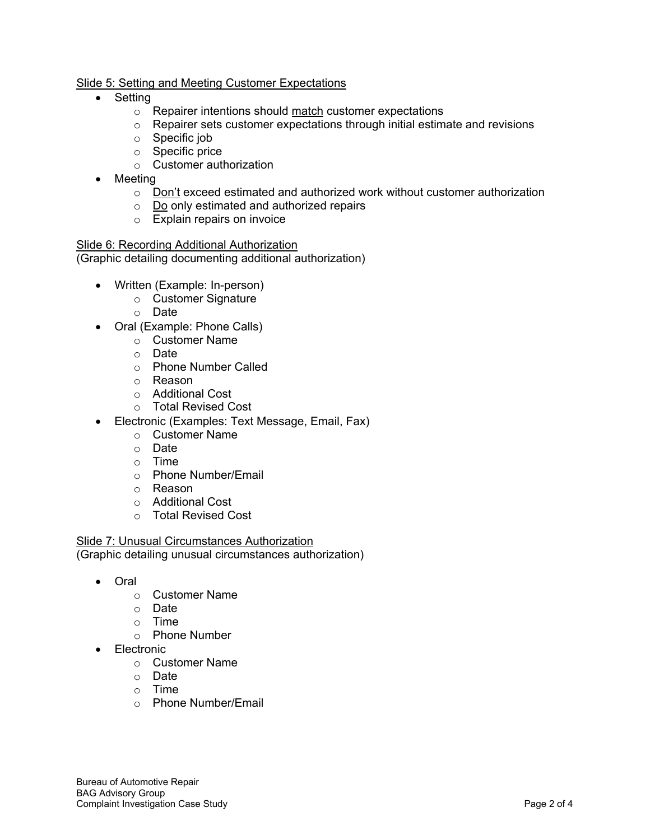## Slide 5: Setting and Meeting Customer Expectations

- Setting
	- o Repairer intentions should match customer expectations
	- $\circ$  Repairer sets customer expectations through initial estimate and revisions
	- o Specific job
	- o Specific price
	- o Customer authorization
- Meeting
	- $\circ$  Don't exceed estimated and authorized work without customer authorization
	- o Do only estimated and authorized repairs
	- o Explain repairs on invoice

Slide 6: Recording Additional Authorization (Graphic detailing documenting additional authorization)

- Written (Example: In-person)
	- o Customer Signature
	- o Date
- Oral (Example: Phone Calls)
	- o Customer Name
	- o Date
	- o Phone Number Called
	- o Reason
	- o Additional Cost
	- o Total Revised Cost
- Electronic (Examples: Text Message, Email, Fax)
	- o Customer Name
	- o Date
	- o Time
	- o Phone Number/Email
	- o Reason
	- o Additional Cost
	- o Total Revised Cost

Slide 7: Unusual Circumstances Authorization (Graphic detailing unusual circumstances authorization)

- Oral
	- o Customer Name
	- o Date
	- o Time
	- o Phone Number
- Electronic
	- o Customer Name
	- o Date
	- o Time
	- o Phone Number/Email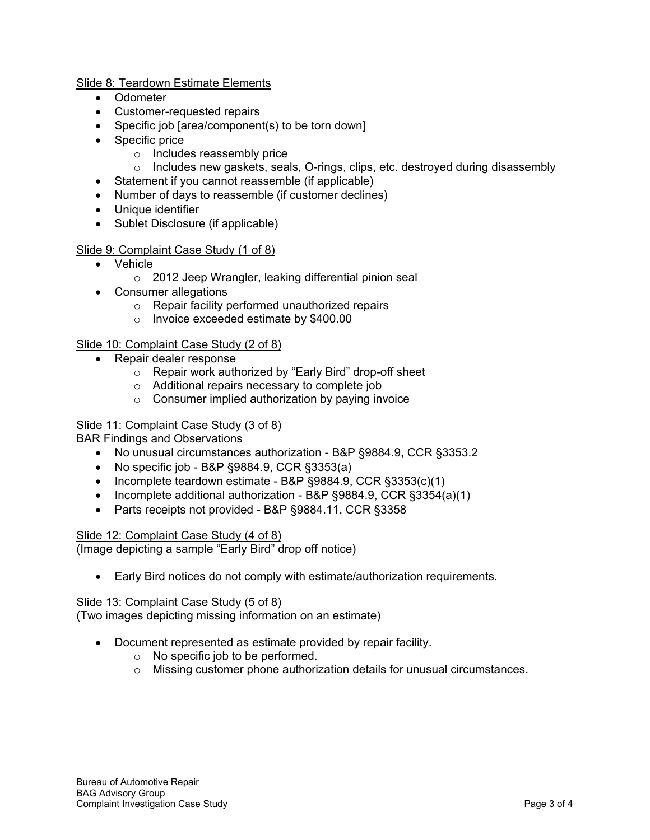## Slide 8: Teardown Estimate Elements

- Odometer
- Customer-requested repairs
- Specific job [area/component(s) to be torn down]
- Specific price
	- o Includes reassembly price
	- $\circ$  Includes new gaskets, seals, O-rings, clips, etc. destroyed during disassembly
- Statement if you cannot reassemble (if applicable)
- Number of days to reassemble (if customer declines)
- Unique identifier
- Sublet Disclosure (if applicable)

## Slide 9: Complaint Case Study (1 of 8)

- Vehicle
	- o 2012 Jeep Wrangler, leaking differential pinion seal
- Consumer allegations
	- o Repair facility performed unauthorized repairs
	- o Invoice exceeded estimate by \$400.00

## Slide 10: Complaint Case Study (2 of 8)

- Repair dealer response
	- o Repair work authorized by "Early Bird" drop-off sheet
	- o Additional repairs necessary to complete job
	- $\circ$  Consumer implied authorization by paying invoice

## Slide 11: Complaint Case Study (3 of 8)

BAR Findings and Observations

- No unusual circumstances authorization B&P §9884.9, CCR §3353.2
- No specific job B&P §9884.9, CCR §3353(a)
- Incomplete teardown estimate B&P §9884.9, CCR §3353(c)(1)
- Incomplete additional authorization B&P §9884.9, CCR §3354(a)(1)
- Parts receipts not provided B&P §9884.11, CCR §3358

## Slide 12: Complaint Case Study (4 of 8)

(Image depicting a sample "Early Bird" drop off notice)

• Early Bird notices do not comply with estimate/authorization requirements.

### Slide 13: Complaint Case Study (5 of 8)

(Two images depicting missing information on an estimate)

- Document represented as estimate provided by repair facility.
	- o No specific job to be performed.
	- o Missing customer phone authorization details for unusual circumstances.